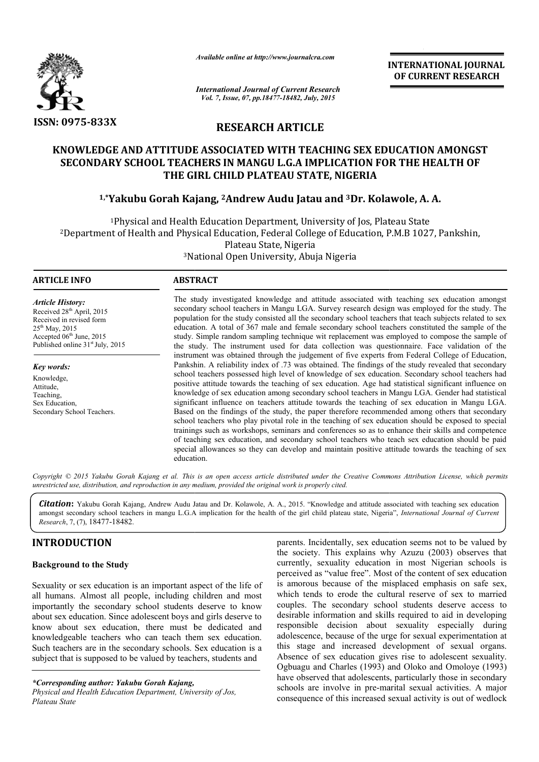

*Available online at http://www.journalcra.com*

**INTERNATIONAL INTERNATIONAL JOURNAL OF CURRENT RESEARCH** 

*International Journal of Current Research Vol. 7, Issue, 07, pp.18477-18482, July, 2015*

# **RESEARCH ARTICLE**

# KNOWLEDGE AND ATTITUDE ASSOCIATED WITH TEACHING SEX EDUCATION AMONGST<br>SECONDARY SCHOOL TEACHERS IN MANGU L.G.A IMPLICATION FOR THE HEALTH OF **SECONDARY SCHOOL TEACHERS IN MANGU L.G.A IMPLICATION FOR THE HEALTH OF THE GIRL CHILD PLATEAU STATE, NIGERIA**

# <sup>1,</sup>\*Yakubu Gorah Kajang, <sup>2</sup>Andrew Audu Jatau and <sup>3</sup>Dr. Kolawole, A. A.

1Physical and Health Education Department, University of Jos, Plateau State 2Department of Health and Physical Education, Federal College of Education, P.M.B 1027, Physical and Health Education Department, University of Jos, Plateau State<br>1927, Pankshin, Federal College of Education, P.M.B 1027, Pankshin,<br>Plateau State, Nigeria

<sup>3</sup>National Open University, Abuja Nigeria<br>————————————————————

# **ARTICLE INFO ABSTRACT** The study investigated knowledge and attitude associated with teaching sex education amongst secondary school teachers in Mangu LGA. Survey research design was employed for the study. The population for the study consisted all the secondary school teachers that teach subjects related to sex education. A total of 367 male and female secondary school teachers constituted the sample of the study. Simple random sampling technique wit replacement was employed to compose the sample of the study. The instrument used for data collection was questionnaire. Face validation of the instrument was obtained through the judgement of five experts from Federal College of Education, Pankshin. A reliability index of .73 was obtained. The findings of the study revealed that secondary school teachers possessed high level of knowledge of sex education. Secondary school teachers had positive attitude towards the teaching of sex education. Age had statistical significan knowledge of sex education among secondary school teachers in Mangu LGA. Gender had statistical significant influence on teachers attitude towards the teaching of sex education in Mangu LGA. Based on the findings of the study, the paper therefore recommended among others that secondary school teachers who play pivotal role in the teaching of sex education should be exposed to special trainings such as workshops, seminars and conferences so as to enhance their skills and competence of teaching sex education, and secondary school teachers who teach sex education should be paid special allowances so they can develop and maintain positive attitude towards the teaching of sex education. *Article History:* Received 28<sup>th</sup> April, 2015 Received in revised form  $25^{th}$  May, 2015 Accepted 06<sup>th</sup> June, 2015 Published online 31<sup>st</sup> July, 2015 *Key words:* Knowledge, Attitude, Teaching, Sex Education, Secondary School Teachers. lation for the study consisted all the secondary school teachers that teach subjects related to sex<br>ation. A total of 367 male and female secondary school teachers constituted the sample of the<br>z. Simple random sampling te study investigated knowledge and attitude associated with teaching sex education amongst<br>dary school teachers in Mangu LGA. Survey research design was employed for the study. The<br>lation for the study consisted all the seco dge of sex education among secondary school teachers in Mangu LGA. Gender had statistical ant influence on teachers attitude towards the teaching of sex education in Mangu LGA. In the findings of the study, the paper there **INTERNATIONAL JOURNAL OF CURRENT IONAL OF CURRENT RESEARCH (5.1978)**<br> **ILE**<br> **ACHING SEX EDUCATION AMONGST**<br> **ILE**<br> **ILE**<br> **ACHING SEX EDUCATION AMONGST**<br> **ILE**<br> **ILE**<br> **ICE ACHING SEX EDUCATION FOR THE HEALTH OF THE ANC**

Copyright © 2015 Yakubu Gorah Kajang et al. This is an open access article distributed under the Creative Commons Attribution License, which permits *unrestricted use, distribution, and reproduction in any medium, provided the original work is properly cited.*

*Citation***:** Yakubu Gorah Kajang, Andrew Audu Jatau and D Dr. Kolawole, A. A., 2015. "Knowledge and attitude associated with teaching sex education Citation: Yakubu Gorah Kajang, Andrew Audu Jatau and Dr. Kolawole, A. A., 2015. "Knowledge and attitude associated with teaching sex education<br>amongst secondary school teachers in mangu L.G.A implication for the health of *Research*, 7, (7), 18477-18482.

# **INTRODUCTION**

## **Background to the Study**

Sexuality or sex education is an important aspect of the life of all humans. Almost all people, including children and most importantly the secondary school students deserve to know about sex education. Since adolescent boys and girls deserve to know about sex education, there must be dedicated and knowledgeable teachers who can teach them sex education. Such teachers are in the secondary schools. Sex education is a subject that is supposed to be valued by teachers, students and

*\*Corresponding author: Yakubu Gorah Kajang,*

*Physical and Health Education Department, University of Jos, Plateau State*

parents. Incidentally, sex education seems not to be valued by the society. This explains why Azuzu (2003) observes that the society. This explains why Azuzu (2003) observes that currently, sexuality education in most Nigerian schools is perceived as "value free". Most of the content of sex education is amorous because of the misplaced emphasis on safe sex, which tends to erode the cultural reserve of sex to married perceived as "value free". Most of the content of sex education<br>is amorous because of the misplaced emphasis on safe sex,<br>which tends to erode the cultural reserve of sex to married<br>couples. The secondary school students d desirable information and skills required to aid in developing responsible decision about sexuality especially during adolescence, because of the urge for sexual experimentation at this stage and increased development of sexual organs. Absence of sex education gives rise to adolescent sexuality. Ogbuagu and Charles (1993) and Oloko and Omoloye (1993) have observed that adolescents, particularly those in secondary schools are involve in pre-marital sexual activities. A major consequence of this increased sexual activity is out of wedlock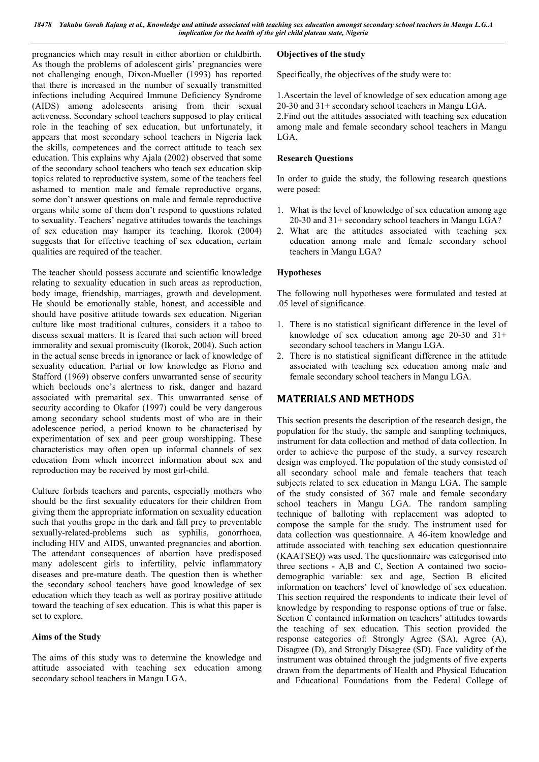*18478 Yakubu Gorah Kajang et al., Knowledge and attitude associated with teaching sex education amongst secondary school teachers in Mangu L.G.A implication for the health of the girl child plateau state, Nigeria*

pregnancies which may result in either abortion or childbirth. As though the problems of adolescent girls' pregnancies were not challenging enough, Dixon-Mueller (1993) has reported that there is increased in the number of sexually transmitted infections including Acquired Immune Deficiency Syndrome (AIDS) among adolescents arising from their sexual activeness. Secondary school teachers supposed to play critical role in the teaching of sex education, but unfortunately, it appears that most secondary school teachers in Nigeria lack the skills, competences and the correct attitude to teach sex education. This explains why Ajala (2002) observed that some of the secondary school teachers who teach sex education skip topics related to reproductive system, some of the teachers feel ashamed to mention male and female reproductive organs, some don't answer questions on male and female reproductive organs while some of them don't respond to questions related to sexuality. Teachers' negative attitudes towards the teachings of sex education may hamper its teaching. Ikorok (2004) suggests that for effective teaching of sex education, certain qualities are required of the teacher.

The teacher should possess accurate and scientific knowledge relating to sexuality education in such areas as reproduction, body image, friendship, marriages, growth and development. He should be emotionally stable, honest, and accessible and should have positive attitude towards sex education. Nigerian culture like most traditional cultures, considers it a taboo to discuss sexual matters. It is feared that such action will breed immorality and sexual promiscuity (Ikorok, 2004). Such action in the actual sense breeds in ignorance or lack of knowledge of sexuality education. Partial or low knowledge as Florio and Stafford (1969) observe confers unwarranted sense of security which beclouds one's alertness to risk, danger and hazard associated with premarital sex. This unwarranted sense of security according to Okafor (1997) could be very dangerous among secondary school students most of who are in their adolescence period, a period known to be characterised by experimentation of sex and peer group worshipping. These characteristics may often open up informal channels of sex education from which incorrect information about sex and reproduction may be received by most girl-child.

Culture forbids teachers and parents, especially mothers who should be the first sexuality educators for their children from giving them the appropriate information on sexuality education such that youths grope in the dark and fall prey to preventable sexually-related-problems such as syphilis, gonorrhoea, including HIV and AIDS, unwanted pregnancies and abortion. The attendant consequences of abortion have predisposed many adolescent girls to infertility, pelvic inflammatory diseases and pre-mature death. The question then is whether the secondary school teachers have good knowledge of sex education which they teach as well as portray positive attitude toward the teaching of sex education. This is what this paper is set to explore.

## **Aims of the Study**

The aims of this study was to determine the knowledge and attitude associated with teaching sex education among secondary school teachers in Mangu LGA.

# **Objectives of the study**

Specifically, the objectives of the study were to:

1.Ascertain the level of knowledge of sex education among age 20-30 and 31+ secondary school teachers in Mangu LGA.

2.Find out the attitudes associated with teaching sex education among male and female secondary school teachers in Mangu LGA.

## **Research Questions**

In order to guide the study, the following research questions were posed:

- 1. What is the level of knowledge of sex education among age 20-30 and 31+ secondary school teachers in Mangu LGA?
- 2. What are the attitudes associated with teaching sex education among male and female secondary school teachers in Mangu LGA?

# **Hypotheses**

The following null hypotheses were formulated and tested at .05 level of significance.

- 1. There is no statistical significant difference in the level of knowledge of sex education among age  $20-30$  and  $31+$ secondary school teachers in Mangu LGA.
- 2. There is no statistical significant difference in the attitude associated with teaching sex education among male and female secondary school teachers in Mangu LGA.

# **MATERIALS AND METHODS**

This section presents the description of the research design, the population for the study, the sample and sampling techniques, instrument for data collection and method of data collection. In order to achieve the purpose of the study, a survey research design was employed. The population of the study consisted of all secondary school male and female teachers that teach subjects related to sex education in Mangu LGA. The sample of the study consisted of 367 male and female secondary school teachers in Mangu LGA. The random sampling technique of balloting with replacement was adopted to compose the sample for the study. The instrument used for data collection was questionnaire. A 46-item knowledge and attitude associated with teaching sex education questionnaire (KAATSEQ) was used. The questionnaire was categorised into three sections - A,B and C, Section A contained two sociodemographic variable: sex and age, Section B elicited information on teachers' level of knowledge of sex education. This section required the respondents to indicate their level of knowledge by responding to response options of true or false. Section C contained information on teachers' attitudes towards the teaching of sex education. This section provided the response categories of: Strongly Agree (SA), Agree (A), Disagree (D), and Strongly Disagree (SD). Face validity of the instrument was obtained through the judgments of five experts drawn from the departments of Health and Physical Education and Educational Foundations from the Federal College of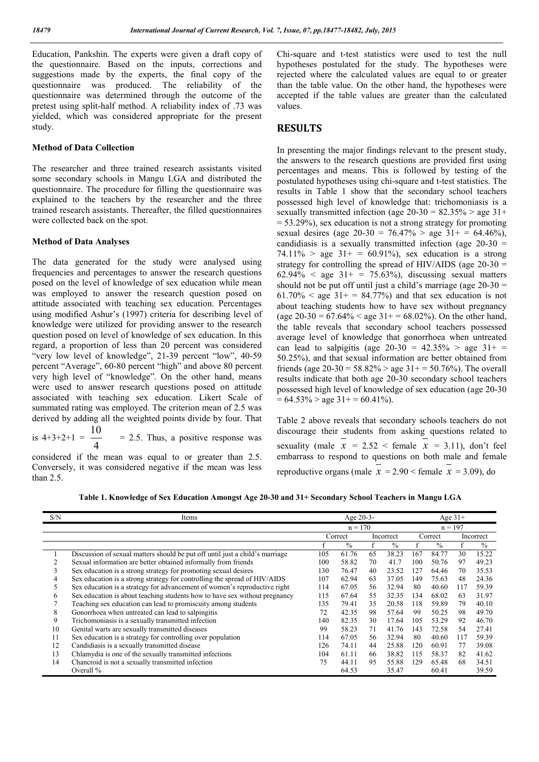Education, Pankshin. The experts were given a draft copy of the questionnaire. Based on the inputs, corrections and suggestions made by the experts, the final copy of the questionnaire was produced. The reliability of the questionnaire was determined through the outcome of the pretest using split-half method. A reliability index of .73 was yielded, which was considered appropriate for the present study.

#### **Method of Data Collection**

The researcher and three trained research assistants visited some secondary schools in Mangu LGA and distributed the questionnaire. The procedure for filling the questionnaire was explained to the teachers by the researcher and the three trained research assistants. Thereafter, the filled questionnaires were collected back on the spot.

#### **Method of Data Analyses**

The data generated for the study were analysed using frequencies and percentages to answer the research questions posed on the level of knowledge of sex education while mean was employed to answer the research question posed on attitude associated with teaching sex education. Percentages using modified Ashur's (1997) criteria for describing level of knowledge were utilized for providing answer to the research question posed on level of knowledge of sex education. In this regard, a proportion of less than 20 percent was considered "very low level of knowledge", 21-39 percent "low", 40-59 percent "Average", 60-80 percent "high" and above 80 percent very high level of "knowledge". On the other hand, means were used to answer research questions posed on attitude associated with teaching sex education. Likert Scale of summated rating was employed. The criterion mean of 2.5 was derived by adding all the weighted points divide by four. That

is  $4+3+2+1 = -4$  $= 2.5$ . Thus, a positive response was

considered if the mean was equal to or greater than 2.5. Conversely, it was considered negative if the mean was less than 2.5.

Chi-square and t-test statistics were used to test the null hypotheses postulated for the study. The hypotheses were rejected where the calculated values are equal to or greater than the table value. On the other hand, the hypotheses were accepted if the table values are greater than the calculated values.

# **RESULTS**

In presenting the major findings relevant to the present study, the answers to the research questions are provided first using percentages and means. This is followed by testing of the postulated hypotheses using chi-square and t-test statistics. The results in Table 1 show that the secondary school teachers possessed high level of knowledge that: trichomoniasis is a sexually transmitted infection (age  $20-30 = 82.35\%$  > age 31+ = 53.29%), sex education is not a strong strategy for promoting sexual desires (age  $20-30 = 76.47\% >$  age  $31+ = 64.46\%$ ), candidiasis is a sexually transmitted infection (age  $20-30 =$ 74.11% > age  $31+ = 60.91\%$ , sex education is a strong strategy for controlling the spread of HIV/AIDS (age 20-30 =  $62.94\%$  < age  $31+ = 75.63\%$ , discussing sexual matters should not be put off until just a child's marriage (age 20-30 =  $61.70\%$  < age  $31+ = 84.77\%$ ) and that sex education is not about teaching students how to have sex without pregnancy (age  $20-30 = 67.64\% <$  age  $31+ = 68.02\%$ ). On the other hand, the table reveals that secondary school teachers possessed average level of knowledge that gonorrhoea when untreated can lead to salpigitis (age  $20-30 = 42.35\% >$  age  $31+ =$ 50.25%), and that sexual information are better obtained from friends (age  $20-30 = 58.82\%$  > age  $31+=50.76\%$ ). The overall results indicate that both age 20-30 secondary school teachers possessed high level of knowledge of sex education (age 20-30  $= 64.53\% >$  age 31+ = 60.41%).

Table 2 above reveals that secondary schools teachers do not discourage their students from asking questions related to sexuality (male  $x = 2.52$  < female  $x = 3.11$ ), don't feel embarrass to respond to questions on both male and female reproductive organs (male  $x = 2.90 \le$  female  $x = 3.09$ ), do

| S/N | Items                                                                        |     | Age $20-3$ -  |    |               |           | Age $31+$     |     |               |  |
|-----|------------------------------------------------------------------------------|-----|---------------|----|---------------|-----------|---------------|-----|---------------|--|
|     |                                                                              |     | $n = 170$     |    |               | $n = 197$ |               |     |               |  |
|     |                                                                              |     | Correct       |    | Incorrect     |           | Correct       |     | Incorrect     |  |
|     |                                                                              |     | $\frac{0}{0}$ |    | $\frac{0}{0}$ |           | $\frac{0}{0}$ |     | $\frac{0}{0}$ |  |
|     | Discussion of sexual matters should be put off until just a child's marriage | 105 | 61.76         | 65 | 38.23         | 167       | 84.77         | 30  | 15.22         |  |
|     | Sexual information are better obtained informally from friends               | 100 | 58.82         | 70 | 41.7          | 100       | 50.76         | 97  | 49.23         |  |
|     | Sex education is a strong strategy for promoting sexual desires              | 130 | 76.47         | 40 | 23.52         | 127       | 64.46         | 70  | 35.53         |  |
|     | Sex education is a strong strategy for controlling the spread of HIV/AIDS    | 107 | 62.94         | 63 | 37.05         | 149       | 75.63         | 48  | 24.36         |  |
|     | Sex education is a strategy for advancement of women's reproductive right    | 114 | 67.05         | 56 | 32.94         | 80        | 40.60         | 117 | 59.39         |  |
| 6   | Sex education is about teaching students how to have sex without pregnancy   | 115 | 67.64         | 55 | 32.35         | 134       | 68.02         | 63  | 31.97         |  |
|     | Teaching sex education can lead to promiscuity among students                | 135 | 79.41         | 35 | 20.58         | 118       | 59.89         | 79  | 40.10         |  |
| 8   | Gonorrhoea when untreated can lead to salpingitis                            | 72  | 42.35         | 98 | 57.64         | 99        | 50.25         | 98  | 49.70         |  |
| 9   | Trichomoniasis is a sexually transmitted infection                           | 140 | 82.35         | 30 | 17.64         | 105       | 53.29         | 92  | 46.70         |  |
| 10  | Genital warts are sexually transmitted diseases                              | 99  | 58.23         | 71 | 41.76         | 143       | 72.58         | 54  | 27.41         |  |
| 11  | Sex education is a strategy for controlling over population                  | 114 | 67.05         | 56 | 32.94         | 80        | 40.60         | 117 | 59.39         |  |
| 12  | Candidiasis is a sexually transmitted disease                                | 126 | 74.11         | 44 | 25.88         | 120       | 60.91         | 77  | 39.08         |  |
| 13  | Chlamydia is one of the sexually transmitted infections                      | 104 | 61.11         | 66 | 38.82         | 115       | 58.37         | 82  | 41.62         |  |
| 14  | Chancroid is not a sexually transmitted infection                            | 75  | 44.11         | 95 | 55.88         | 129       | 65.48         | 68  | 34.51         |  |
|     | Overall $%$                                                                  |     | 64.53         |    | 35.47         |           | 60.41         |     | 39.59         |  |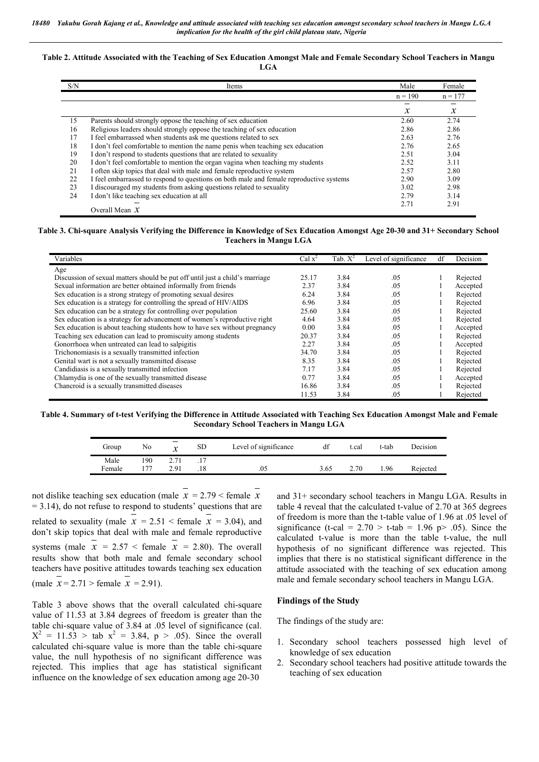#### **Table 2. Attitude Associated with the Teaching of Sex Education Amongst Male and Female Secondary School Teachers in Mangu LGA**

| S/N | Items                                                                                   | Male             | Female        |
|-----|-----------------------------------------------------------------------------------------|------------------|---------------|
|     |                                                                                         | $n = 190$        | $n = 177$     |
|     |                                                                                         | $\boldsymbol{x}$ | $\mathcal{X}$ |
| 15  | Parents should strongly oppose the teaching of sex education                            | 2.60             | 2.74          |
| 16  | Religious leaders should strongly oppose the teaching of sex education                  | 2.86             | 2.86          |
| 17  | I feel embarrassed when students ask me questions related to sex                        | 2.63             | 2.76          |
| 18  | I don't feel comfortable to mention the name penis when teaching sex education          | 2.76             | 2.65          |
| 19  | I don't respond to students questions that are related to sexuality                     | 2.51             | 3.04          |
| 20  | I don't feel comfortable to mention the organ vagina when teaching my students          | 2.52             | 3.11          |
| 21  | I often skip topics that deal with male and female reproductive system                  | 2.57             | 2.80          |
| 22  | I feel embarrassed to respond to questions on both male and female reproductive systems | 2.90             | 3.09          |
| 23  | I discouraged my students from asking questions related to sexuality                    | 3.02             | 2.98          |
| 24  | I don't like teaching sex education at all                                              | 2.79             | 3.14          |
|     |                                                                                         | 2.71             | 2.91          |
|     | Overall Mean $X$                                                                        |                  |               |

#### **Table 3. Chi-square Analysis Verifying the Difference in Knowledge of Sex Education Amongst Age 20-30 and 31+ Secondary School Teachers in Mangu LGA**

| Variables                                                                    | Cal $x^2$ | Tab. $X^2$ | Level of significance | df | Decision |
|------------------------------------------------------------------------------|-----------|------------|-----------------------|----|----------|
| Age                                                                          |           |            |                       |    |          |
| Discussion of sexual matters should be put off until just a child's marriage | 25.17     | 3.84       | .05                   |    | Rejected |
| Sexual information are better obtained informally from friends               | 2.37      | 3.84       | .05                   |    | Accepted |
| Sex education is a strong strategy of promoting sexual desires               | 6.24      | 3.84       | .05                   |    | Rejected |
| Sex education is a strategy for controlling the spread of HIV/AIDS           | 6.96      | 3.84       | .05                   |    | Rejected |
| Sex education can be a strategy for controlling over population              | 25.60     | 3.84       | .05                   |    | Rejected |
| Sex education is a strategy for advancement of women's reproductive right    | 4.64      | 3.84       | .05                   |    | Rejected |
| Sex education is about teaching students how to have sex without pregnancy   | 0.00      | 3.84       | .05                   |    | Accepted |
| Teaching sex education can lead to promiscuity among students                | 20.37     | 3.84       | .05                   |    | Rejected |
| Gonorrhoea when untreated can lead to salpigitis                             | 2.27      | 3.84       | .05                   |    | Accepted |
| Trichonomiasis is a sexually transmitted infection                           | 34.70     | 3.84       | .05                   |    | Rejected |
| Genital wart is not a sexually transmitted disease                           | 8.35      | 3.84       | .05                   |    | Rejected |
| Candidiasis is a sexually transmitted infection                              | 7.17      | 3.84       | .05                   |    | Rejected |
| Chlamydia is one of the sexually transmitted disease                         | 0.77      | 3.84       | .05                   |    | Accepted |
| Chancroid is a sexually transmitted diseases                                 | 16.86     | 3.84       | .05                   |    | Rejected |
|                                                                              | 11.53     | 3.84       | .05                   |    | Rejected |

**Table 4. Summary of t-test Verifying the Difference in Attitude Associated with Teaching Sex Education Amongst Male and Female Secondary School Teachers in Mangu LGA**

| Group          | No        | –<br>v | <b>SD</b> | Level of significance | df   | ∴cal | t-tab | Decision |
|----------------|-----------|--------|-----------|-----------------------|------|------|-------|----------|
| Male<br>Female | 90<br>177 | 201    | .18       | .05                   | 3.65 | 2.70 | .96   | Rejected |

not dislike teaching sex education (male *x* = 2.79 < female *x* = 3.14), do not refuse to respond to students' questions that are related to sexuality (male  $x = 2.51$  < female  $x = 3.04$ ), and don't skip topics that deal with male and female reproductive systems (male  $x = 2.57$  < female  $x = 2.80$ ). The overall results show that both male and female secondary school teachers have positive attitudes towards teaching sex education  $(male \t x = 2.71 > female \t x = 2.91).$ 

Table 3 above shows that the overall calculated chi-square value of 11.53 at 3.84 degrees of freedom is greater than the table chi-square value of 3.84 at .05 level of significance (cal.  $X^2 = 11.53 >$  tab  $x^2 = 3.84$ , p > .05). Since the overall calculated chi-square value is more than the table chi-square value, the null hypothesis of no significant difference was rejected. This implies that age has statistical significant influence on the knowledge of sex education among age 20-30

and 31+ secondary school teachers in Mangu LGA. Results in table 4 reveal that the calculated t-value of 2.70 at 365 degrees of freedom is more than the t-table value of 1.96 at .05 level of significance (t-cal =  $2.70 >$  t-tab =  $1.96$  p $> .05$ ). Since the calculated t-value is more than the table t-value, the null hypothesis of no significant difference was rejected. This implies that there is no statistical significant difference in the attitude associated with the teaching of sex education among male and female secondary school teachers in Mangu LGA.

#### **Findings of the Study**

The findings of the study are:

- 1. Secondary school teachers possessed high level of knowledge of sex education
- 2. Secondary school teachers had positive attitude towards the teaching of sex education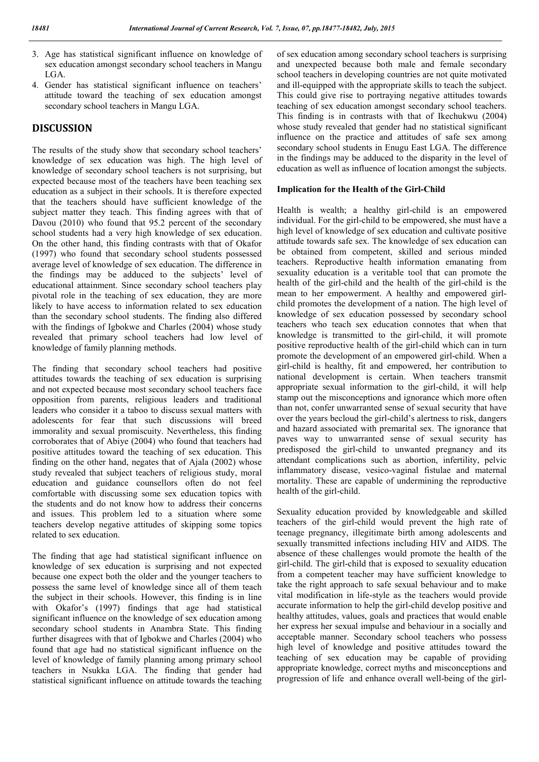- 3. Age has statistical significant influence on knowledge of sex education amongst secondary school teachers in Mangu LGA.
- 4. Gender has statistical significant influence on teachers' attitude toward the teaching of sex education amongst secondary school teachers in Mangu LGA.

# **DISCUSSION**

The results of the study show that secondary school teachers' knowledge of sex education was high. The high level of knowledge of secondary school teachers is not surprising, but expected because most of the teachers have been teaching sex education as a subject in their schools. It is therefore expected that the teachers should have sufficient knowledge of the subject matter they teach. This finding agrees with that of Davou (2010) who found that 95.2 percent of the secondary school students had a very high knowledge of sex education. On the other hand, this finding contrasts with that of Okafor (1997) who found that secondary school students possessed average level of knowledge of sex education. The difference in the findings may be adduced to the subjects' level of educational attainment. Since secondary school teachers play pivotal role in the teaching of sex education, they are more likely to have access to information related to sex education than the secondary school students. The finding also differed with the findings of Igbokwe and Charles (2004) whose study revealed that primary school teachers had low level of knowledge of family planning methods.

The finding that secondary school teachers had positive attitudes towards the teaching of sex education is surprising and not expected because most secondary school teachers face opposition from parents, religious leaders and traditional leaders who consider it a taboo to discuss sexual matters with adolescents for fear that such discussions will breed immorality and sexual promiscuity. Nevertheless, this finding corroborates that of Abiye (2004) who found that teachers had positive attitudes toward the teaching of sex education. This finding on the other hand, negates that of Ajala (2002) whose study revealed that subject teachers of religious study, moral education and guidance counsellors often do not feel comfortable with discussing some sex education topics with the students and do not know how to address their concerns and issues. This problem led to a situation where some teachers develop negative attitudes of skipping some topics related to sex education.

The finding that age had statistical significant influence on knowledge of sex education is surprising and not expected because one expect both the older and the younger teachers to possess the same level of knowledge since all of them teach the subject in their schools. However, this finding is in line with Okafor's (1997) findings that age had statistical significant influence on the knowledge of sex education among secondary school students in Anambra State. This finding further disagrees with that of Igbokwe and Charles (2004) who found that age had no statistical significant influence on the level of knowledge of family planning among primary school teachers in Nsukka LGA. The finding that gender had statistical significant influence on attitude towards the teaching

of sex education among secondary school teachers is surprising and unexpected because both male and female secondary school teachers in developing countries are not quite motivated and ill-equipped with the appropriate skills to teach the subject. This could give rise to portraying negative attitudes towards teaching of sex education amongst secondary school teachers. This finding is in contrasts with that of Ikechukwu (2004) whose study revealed that gender had no statistical significant influence on the practice and attitudes of safe sex among secondary school students in Enugu East LGA. The difference in the findings may be adduced to the disparity in the level of education as well as influence of location amongst the subjects.

### **Implication for the Health of the Girl-Child**

Health is wealth; a healthy girl-child is an empowered individual. For the girl-child to be empowered, she must have a high level of knowledge of sex education and cultivate positive attitude towards safe sex. The knowledge of sex education can be obtained from competent, skilled and serious minded teachers. Reproductive health information emanating from sexuality education is a veritable tool that can promote the health of the girl-child and the health of the girl-child is the mean to her empowerment. A healthy and empowered girlchild promotes the development of a nation. The high level of knowledge of sex education possessed by secondary school teachers who teach sex education connotes that when that knowledge is transmitted to the girl-child, it will promote positive reproductive health of the girl-child which can in turn promote the development of an empowered girl-child. When a girl-child is healthy, fit and empowered, her contribution to national development is certain. When teachers transmit appropriate sexual information to the girl-child, it will help stamp out the misconceptions and ignorance which more often than not, confer unwarranted sense of sexual security that have over the years becloud the girl-child's alertness to risk, dangers and hazard associated with premarital sex. The ignorance that paves way to unwarranted sense of sexual security has predisposed the girl-child to unwanted pregnancy and its attendant complications such as abortion, infertility, pelvic inflammatory disease, vesico-vaginal fistulae and maternal mortality. These are capable of undermining the reproductive health of the girl-child.

Sexuality education provided by knowledgeable and skilled teachers of the girl-child would prevent the high rate of teenage pregnancy, illegitimate birth among adolescents and sexually transmitted infections including HIV and AIDS. The absence of these challenges would promote the health of the girl-child. The girl-child that is exposed to sexuality education from a competent teacher may have sufficient knowledge to take the right approach to safe sexual behaviour and to make vital modification in life-style as the teachers would provide accurate information to help the girl-child develop positive and healthy attitudes, values, goals and practices that would enable her express her sexual impulse and behaviour in a socially and acceptable manner. Secondary school teachers who possess high level of knowledge and positive attitudes toward the teaching of sex education may be capable of providing appropriate knowledge, correct myths and misconceptions and progression of life and enhance overall well-being of the girl